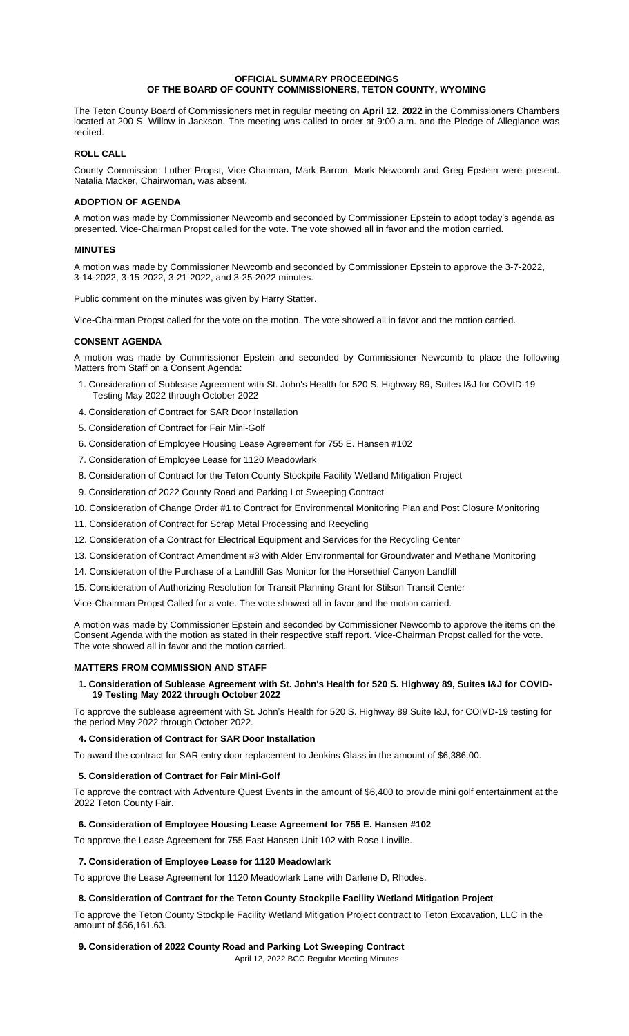### **OFFICIAL SUMMARY PROCEEDINGS OF THE BOARD OF COUNTY COMMISSIONERS, TETON COUNTY, WYOMING**

The Teton County Board of Commissioners met in regular meeting on **April 12, 2022** in the Commissioners Chambers located at 200 S. Willow in Jackson. The meeting was called to order at 9:00 a.m. and the Pledge of Allegiance was recited.

## **ROLL CALL**

County Commission: Luther Propst, Vice-Chairman, Mark Barron, Mark Newcomb and Greg Epstein were present. Natalia Macker, Chairwoman, was absent.

## **ADOPTION OF AGENDA**

A motion was made by Commissioner Newcomb and seconded by Commissioner Epstein to adopt today's agenda as presented. Vice-Chairman Propst called for the vote. The vote showed all in favor and the motion carried.

## **MINUTES**

A motion was made by Commissioner Newcomb and seconded by Commissioner Epstein to approve the 3-7-2022, 3-14-2022, 3-15-2022, 3-21-2022, and 3-25-2022 minutes.

Public comment on the minutes was given by Harry Statter.

Vice-Chairman Propst called for the vote on the motion. The vote showed all in favor and the motion carried.

## **CONSENT AGENDA**

A motion was made by Commissioner Epstein and seconded by Commissioner Newcomb to place the following Matters from Staff on a Consent Agenda:

- 1. Consideration of Sublease Agreement with St. John's Health for 520 S. Highway 89, Suites I&J for COVID-19 Testing May 2022 through October 2022
- 4. Consideration of Contract for SAR Door Installation
- 5. Consideration of Contract for Fair Mini-Golf
- 6. Consideration of Employee Housing Lease Agreement for 755 E. Hansen #102
- 7. Consideration of Employee Lease for 1120 Meadowlark
- 8. Consideration of Contract for the Teton County Stockpile Facility Wetland Mitigation Project
- 9. Consideration of 2022 County Road and Parking Lot Sweeping Contract
- 10. Consideration of Change Order #1 to Contract for Environmental Monitoring Plan and Post Closure Monitoring
- 11. Consideration of Contract for Scrap Metal Processing and Recycling
- 12. Consideration of a Contract for Electrical Equipment and Services for the Recycling Center
- 13. Consideration of Contract Amendment #3 with Alder Environmental for Groundwater and Methane Monitoring
- 14. Consideration of the Purchase of a Landfill Gas Monitor for the Horsethief Canyon Landfill
- 15. Consideration of Authorizing Resolution for Transit Planning Grant for Stilson Transit Center

Vice-Chairman Propst Called for a vote. The vote showed all in favor and the motion carried.

A motion was made by Commissioner Epstein and seconded by Commissioner Newcomb to approve the items on the Consent Agenda with the motion as stated in their respective staff report. Vice-Chairman Propst called for the vote. The vote showed all in favor and the motion carried.

#### **MATTERS FROM COMMISSION AND STAFF**

# **1. Consideration of Sublease Agreement with St. John's Health for 520 S. Highway 89, Suites I&J for COVID-19 Testing May 2022 through October 2022**

To approve the sublease agreement with St. John's Health for 520 S. Highway 89 Suite I&J, for COIVD-19 testing for the period May 2022 through October 2022.

#### **4. Consideration of Contract for SAR Door Installation**

To award the contract for SAR entry door replacement to Jenkins Glass in the amount of \$6,386.00.

# **5. Consideration of Contract for Fair Mini-Golf**

To approve the contract with Adventure Quest Events in the amount of \$6,400 to provide mini golf entertainment at the 2022 Teton County Fair.

# **6. Consideration of Employee Housing Lease Agreement for 755 E. Hansen #102**

To approve the Lease Agreement for 755 East Hansen Unit 102 with Rose Linville.

#### **7. Consideration of Employee Lease for 1120 Meadowlark**

To approve the Lease Agreement for 1120 Meadowlark Lane with Darlene D, Rhodes.

# **8. Consideration of Contract for the Teton County Stockpile Facility Wetland Mitigation Project**

To approve the Teton County Stockpile Facility Wetland Mitigation Project contract to Teton Excavation, LLC in the amount of \$56,161.63.

# **9. Consideration of 2022 County Road and Parking Lot Sweeping Contract**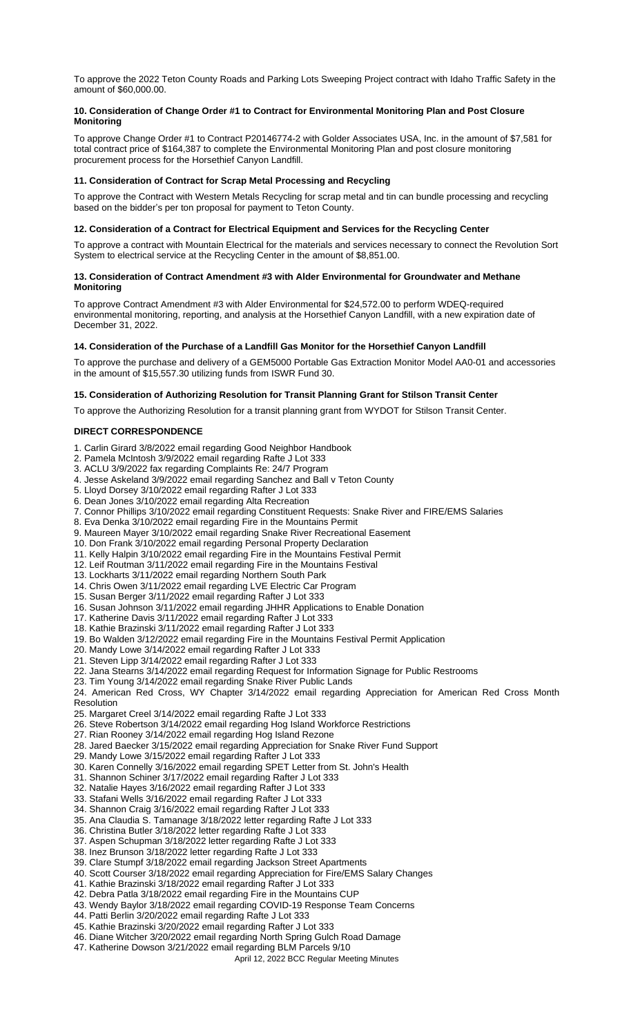To approve the 2022 Teton County Roads and Parking Lots Sweeping Project contract with Idaho Traffic Safety in the amount of \$60,000.00.

## **10. Consideration of Change Order #1 to Contract for Environmental Monitoring Plan and Post Closure Monitoring**

To approve Change Order #1 to Contract P20146774-2 with Golder Associates USA, Inc. in the amount of \$7,581 for total contract price of \$164,387 to complete the Environmental Monitoring Plan and post closure monitoring procurement process for the Horsethief Canyon Landfill.

## **11. Consideration of Contract for Scrap Metal Processing and Recycling**

To approve the Contract with Western Metals Recycling for scrap metal and tin can bundle processing and recycling based on the bidder's per ton proposal for payment to Teton County.

### **12. Consideration of a Contract for Electrical Equipment and Services for the Recycling Center**

To approve a contract with Mountain Electrical for the materials and services necessary to connect the Revolution Sort System to electrical service at the Recycling Center in the amount of \$8,851.00.

### **13. Consideration of Contract Amendment #3 with Alder Environmental for Groundwater and Methane Monitoring**

To approve Contract Amendment #3 with Alder Environmental for \$24,572.00 to perform WDEQ-required environmental monitoring, reporting, and analysis at the Horsethief Canyon Landfill, with a new expiration date of December 31, 2022.

# **14. Consideration of the Purchase of a Landfill Gas Monitor for the Horsethief Canyon Landfill**

To approve the purchase and delivery of a GEM5000 Portable Gas Extraction Monitor Model AA0-01 and accessories in the amount of \$15,557.30 utilizing funds from ISWR Fund 30.

## **15. Consideration of Authorizing Resolution for Transit Planning Grant for Stilson Transit Center**

To approve the Authorizing Resolution for a transit planning grant from WYDOT for Stilson Transit Center.

## **DIRECT CORRESPONDENCE**

- 1. Carlin Girard 3/8/2022 email regarding Good Neighbor Handbook
- 2. Pamela McIntosh 3/9/2022 email regarding Rafte J Lot 333
- 3. ACLU 3/9/2022 fax regarding Complaints Re: 24/7 Program
- 4. Jesse Askeland 3/9/2022 email regarding Sanchez and Ball v Teton County
- 5. Lloyd Dorsey 3/10/2022 email regarding Rafter J Lot 333
- 6. Dean Jones 3/10/2022 email regarding Alta Recreation
- 7. Connor Phillips 3/10/2022 email regarding Constituent Requests: Snake River and FIRE/EMS Salaries
- 8. Eva Denka 3/10/2022 email regarding Fire in the Mountains Permit
- 9. Maureen Mayer 3/10/2022 email regarding Snake River Recreational Easement
- 10. Don Frank 3/10/2022 email regarding Personal Property Declaration
- 11. Kelly Halpin 3/10/2022 email regarding Fire in the Mountains Festival Permit
- 12. Leif Routman 3/11/2022 email regarding Fire in the Mountains Festival
- 13. Lockharts 3/11/2022 email regarding Northern South Park 14. Chris Owen 3/11/2022 email regarding LVE Electric Car Program
- 15. Susan Berger 3/11/2022 email regarding Rafter J Lot 333
- 16. Susan Johnson 3/11/2022 email regarding JHHR Applications to Enable Donation
- 17. Katherine Davis 3/11/2022 email regarding Rafter J Lot 333
- 18. Kathie Brazinski 3/11/2022 email regarding Rafter J Lot 333
- 19. Bo Walden 3/12/2022 email regarding Fire in the Mountains Festival Permit Application
- 20. Mandy Lowe 3/14/2022 email regarding Rafter J Lot 333
- 21. Steven Lipp 3/14/2022 email regarding Rafter J Lot 333
- 22. Jana Stearns 3/14/2022 email regarding Request for Information Signage for Public Restrooms
- 23. Tim Young 3/14/2022 email regarding Snake River Public Lands

24. American Red Cross, WY Chapter 3/14/2022 email regarding Appreciation for American Red Cross Month **Resolution** 

- 25. Margaret Creel 3/14/2022 email regarding Rafte J Lot 333
- 26. Steve Robertson 3/14/2022 email regarding Hog Island Workforce Restrictions
- 27. Rian Rooney 3/14/2022 email regarding Hog Island Rezone
- 28. Jared Baecker 3/15/2022 email regarding Appreciation for Snake River Fund Support
- 29. Mandy Lowe 3/15/2022 email regarding Rafter J Lot 333
- 30. Karen Connelly 3/16/2022 email regarding SPET Letter from St. John's Health
- 31. Shannon Schiner 3/17/2022 email regarding Rafter J Lot 333
- 32. Natalie Hayes 3/16/2022 email regarding Rafter J Lot 333
- 33. Stafani Wells 3/16/2022 email regarding Rafter J Lot 333
- 34. Shannon Craig 3/16/2022 email regarding Rafter J Lot 333
- 35. Ana Claudia S. Tamanage 3/18/2022 letter regarding Rafte J Lot 333
- 36. Christina Butler 3/18/2022 letter regarding Rafte J Lot 333
- 37. Aspen Schupman 3/18/2022 letter regarding Rafte J Lot 333
- 38. Inez Brunson 3/18/2022 letter regarding Rafte J Lot 333
- 39. Clare Stumpf 3/18/2022 email regarding Jackson Street Apartments
- 40. Scott Courser 3/18/2022 email regarding Appreciation for Fire/EMS Salary Changes
- 41. Kathie Brazinski 3/18/2022 email regarding Rafter J Lot 333
- 42. Debra Patla 3/18/2022 email regarding Fire in the Mountains CUP
- 43. Wendy Baylor 3/18/2022 email regarding COVID-19 Response Team Concerns
- 44. Patti Berlin 3/20/2022 email regarding Rafte J Lot 333
- 45. Kathie Brazinski 3/20/2022 email regarding Rafter J Lot 333
- 46. Diane Witcher 3/20/2022 email regarding North Spring Gulch Road Damage
- 47. Katherine Dowson 3/21/2022 email regarding BLM Parcels 9/10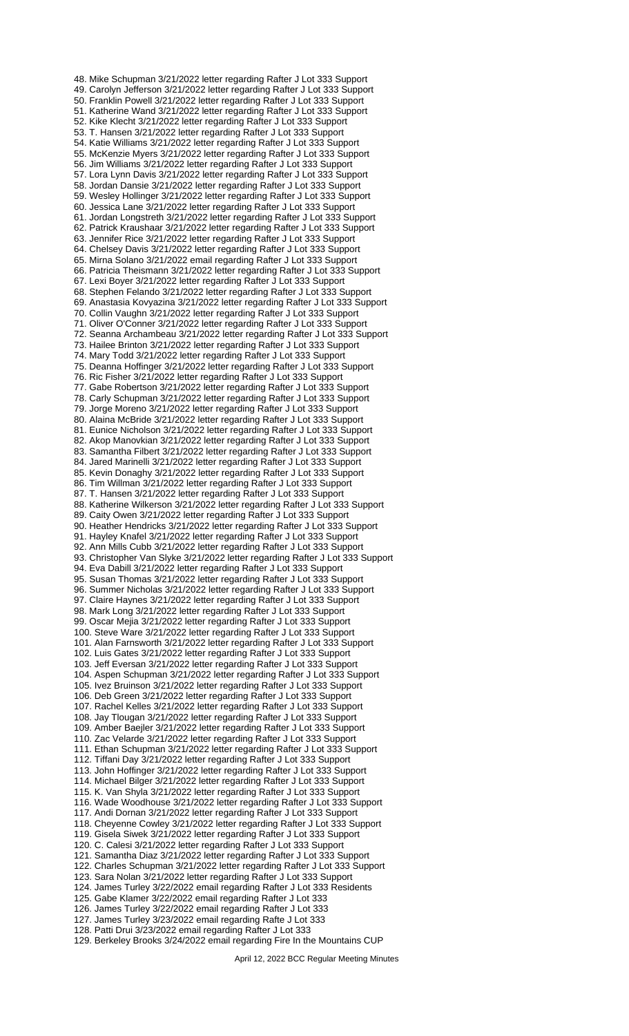48. Mike Schupman 3/21/2022 letter regarding Rafter J Lot 333 Support 49. Carolyn Jefferson 3/21/2022 letter regarding Rafter J Lot 333 Support 50. Franklin Powell 3/21/2022 letter regarding Rafter J Lot 333 Support 51. Katherine Wand 3/21/2022 letter regarding Rafter J Lot 333 Support 52. Kike Klecht 3/21/2022 letter regarding Rafter J Lot 333 Support 53. T. Hansen 3/21/2022 letter regarding Rafter J Lot 333 Support 54. Katie Williams 3/21/2022 letter regarding Rafter J Lot 333 Support 55. McKenzie Myers 3/21/2022 letter regarding Rafter J Lot 333 Support 56. Jim Williams 3/21/2022 letter regarding Rafter J Lot 333 Support 57. Lora Lynn Davis 3/21/2022 letter regarding Rafter J Lot 333 Support 58. Jordan Dansie 3/21/2022 letter regarding Rafter J Lot 333 Support 59. Wesley Hollinger 3/21/2022 letter regarding Rafter J Lot 333 Support 60. Jessica Lane 3/21/2022 letter regarding Rafter J Lot 333 Support 61. Jordan Longstreth 3/21/2022 letter regarding Rafter J Lot 333 Support 62. Patrick Kraushaar 3/21/2022 letter regarding Rafter J Lot 333 Support 63. Jennifer Rice 3/21/2022 letter regarding Rafter J Lot 333 Support 64. Chelsey Davis 3/21/2022 letter regarding Rafter J Lot 333 Support 65. Mirna Solano 3/21/2022 email regarding Rafter J Lot 333 Support 66. Patricia Theismann 3/21/2022 letter regarding Rafter J Lot 333 Support 67. Lexi Boyer 3/21/2022 letter regarding Rafter J Lot 333 Support 68. Stephen Felando 3/21/2022 letter regarding Rafter J Lot 333 Support 69. Anastasia Kovyazina 3/21/2022 letter regarding Rafter J Lot 333 Support 70. Collin Vaughn 3/21/2022 letter regarding Rafter J Lot 333 Support 71. Oliver O'Conner 3/21/2022 letter regarding Rafter J Lot 333 Support 72. Seanna Archambeau 3/21/2022 letter regarding Rafter J Lot 333 Support 73. Hailee Brinton 3/21/2022 letter regarding Rafter J Lot 333 Support 74. Mary Todd 3/21/2022 letter regarding Rafter J Lot 333 Support 75. Deanna Hoffinger 3/21/2022 letter regarding Rafter J Lot 333 Support 76. Ric Fisher 3/21/2022 letter regarding Rafter J Lot 333 Support 77. Gabe Robertson 3/21/2022 letter regarding Rafter J Lot 333 Support 78. Carly Schupman 3/21/2022 letter regarding Rafter J Lot 333 Support 79. Jorge Moreno 3/21/2022 letter regarding Rafter J Lot 333 Support 80. Alaina McBride 3/21/2022 letter regarding Rafter J Lot 333 Support 81. Eunice Nicholson 3/21/2022 letter regarding Rafter J Lot 333 Support 82. Akop Manovkian 3/21/2022 letter regarding Rafter J Lot 333 Support 83. Samantha Filbert 3/21/2022 letter regarding Rafter J Lot 333 Support 84. Jared Marinelli 3/21/2022 letter regarding Rafter J Lot 333 Support 85. Kevin Donaghy 3/21/2022 letter regarding Rafter J Lot 333 Support 86. Tim Willman 3/21/2022 letter regarding Rafter J Lot 333 Support 87. T. Hansen 3/21/2022 letter regarding Rafter J Lot 333 Support 88. Katherine Wilkerson 3/21/2022 letter regarding Rafter J Lot 333 Support 89. Caity Owen 3/21/2022 letter regarding Rafter J Lot 333 Support 90. Heather Hendricks 3/21/2022 letter regarding Rafter J Lot 333 Support 91. Hayley Knafel 3/21/2022 letter regarding Rafter J Lot 333 Support 92. Ann Mills Cubb 3/21/2022 letter regarding Rafter J Lot 333 Support 93. Christopher Van Slyke 3/21/2022 letter regarding Rafter J Lot 333 Support 94. Eva Dabill 3/21/2022 letter regarding Rafter J Lot 333 Support 95. Susan Thomas 3/21/2022 letter regarding Rafter J Lot 333 Support 96. Summer Nicholas 3/21/2022 letter regarding Rafter J Lot 333 Support 97. Claire Haynes 3/21/2022 letter regarding Rafter J Lot 333 Support 98. Mark Long 3/21/2022 letter regarding Rafter J Lot 333 Support 99. Oscar Mejia 3/21/2022 letter regarding Rafter J Lot 333 Support 100. Steve Ware 3/21/2022 letter regarding Rafter J Lot 333 Support 101. Alan Farnsworth 3/21/2022 letter regarding Rafter J Lot 333 Support 102. Luis Gates 3/21/2022 letter regarding Rafter J Lot 333 Support 103. Jeff Eversan 3/21/2022 letter regarding Rafter J Lot 333 Support 104. Aspen Schupman 3/21/2022 letter regarding Rafter J Lot 333 Support 105. Ivez Bruinson 3/21/2022 letter regarding Rafter J Lot 333 Support 106. Deb Green 3/21/2022 letter regarding Rafter J Lot 333 Support 107. Rachel Kelles 3/21/2022 letter regarding Rafter J Lot 333 Support 108. Jay Tlougan 3/21/2022 letter regarding Rafter J Lot 333 Support 109. Amber Baejler 3/21/2022 letter regarding Rafter J Lot 333 Support 110. Zac Velarde 3/21/2022 letter regarding Rafter J Lot 333 Support 111. Ethan Schupman 3/21/2022 letter regarding Rafter J Lot 333 Support 112. Tiffani Day 3/21/2022 letter regarding Rafter J Lot 333 Support 113. John Hoffinger 3/21/2022 letter regarding Rafter J Lot 333 Support 114. Michael Bilger 3/21/2022 letter regarding Rafter J Lot 333 Support 115. K. Van Shyla 3/21/2022 letter regarding Rafter J Lot 333 Support 116. Wade Woodhouse 3/21/2022 letter regarding Rafter J Lot 333 Support 117. Andi Dornan 3/21/2022 letter regarding Rafter J Lot 333 Support 118. Cheyenne Cowley 3/21/2022 letter regarding Rafter J Lot 333 Support 119. Gisela Siwek 3/21/2022 letter regarding Rafter J Lot 333 Support 120. C. Calesi 3/21/2022 letter regarding Rafter J Lot 333 Support 121. Samantha Diaz 3/21/2022 letter regarding Rafter J Lot 333 Support 122. Charles Schupman 3/21/2022 letter regarding Rafter J Lot 333 Support 123. Sara Nolan 3/21/2022 letter regarding Rafter J Lot 333 Support 124. James Turley 3/22/2022 email regarding Rafter J Lot 333 Residents 125. Gabe Klamer 3/22/2022 email regarding Rafter J Lot 333 126. James Turley 3/22/2022 email regarding Rafter J Lot 333 127. James Turley 3/23/2022 email regarding Rafte J Lot 333 128. Patti Drui 3/23/2022 email regarding Rafter J Lot 333

129. Berkeley Brooks 3/24/2022 email regarding Fire In the Mountains CUP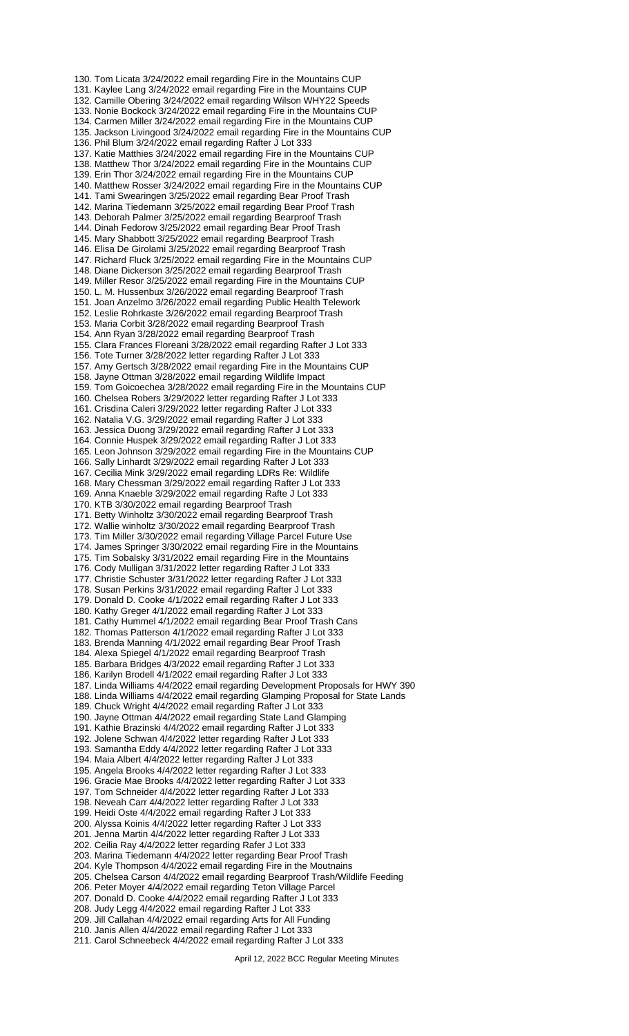130. Tom Licata 3/24/2022 email regarding Fire in the Mountains CUP 131. Kaylee Lang 3/24/2022 email regarding Fire in the Mountains CUP 132. Camille Obering 3/24/2022 email regarding Wilson WHY22 Speeds 133. Nonie Bockock 3/24/2022 email regarding Fire in the Mountains CUP 134. Carmen Miller 3/24/2022 email regarding Fire in the Mountains CUP 135. Jackson Livingood 3/24/2022 email regarding Fire in the Mountains CUP 136. Phil Blum 3/24/2022 email regarding Rafter J Lot 333 137. Katie Matthies 3/24/2022 email regarding Fire in the Mountains CUP 138. Matthew Thor 3/24/2022 email regarding Fire in the Mountains CUP 139. Erin Thor 3/24/2022 email regarding Fire in the Mountains CUP 140. Matthew Rosser 3/24/2022 email regarding Fire in the Mountains CUP 141. Tami Swearingen 3/25/2022 email regarding Bear Proof Trash 142. Marina Tiedemann 3/25/2022 email regarding Bear Proof Trash 143. Deborah Palmer 3/25/2022 email regarding Bearproof Trash 144. Dinah Fedorow 3/25/2022 email regarding Bear Proof Trash 145. Mary Shabbott 3/25/2022 email regarding Bearproof Trash 146. Elisa De Girolami 3/25/2022 email regarding Bearproof Trash 147. Richard Fluck 3/25/2022 email regarding Fire in the Mountains CUP 148. Diane Dickerson 3/25/2022 email regarding Bearproof Trash 149. Miller Resor 3/25/2022 email regarding Fire in the Mountains CUP 150. L. M. Hussenbux 3/26/2022 email regarding Bearproof Trash 151. Joan Anzelmo 3/26/2022 email regarding Public Health Telework 152. Leslie Rohrkaste 3/26/2022 email regarding Bearproof Trash 153. Maria Corbit 3/28/2022 email regarding Bearproof Trash 154. Ann Ryan 3/28/2022 email regarding Bearproof Trash 155. Clara Frances Floreani 3/28/2022 email regarding Rafter J Lot 333 156. Tote Turner 3/28/2022 letter regarding Rafter J Lot 333 157. Amy Gertsch 3/28/2022 email regarding Fire in the Mountains CUP 158. Jayne Ottman 3/28/2022 email regarding Wildlife Impact 159. Tom Goicoechea 3/28/2022 email regarding Fire in the Mountains CUP 160. Chelsea Robers 3/29/2022 letter regarding Rafter J Lot 333 161. Crisdina Caleri 3/29/2022 letter regarding Rafter J Lot 333 162. Natalia V.G. 3/29/2022 email regarding Rafter J Lot 333 163. Jessica Duong 3/29/2022 email regarding Rafter J Lot 333 164. Connie Huspek 3/29/2022 email regarding Rafter J Lot 333 165. Leon Johnson 3/29/2022 email regarding Fire in the Mountains CUP 166. Sally Linhardt 3/29/2022 email regarding Rafter J Lot 333 167. Cecilia Mink 3/29/2022 email regarding LDRs Re: Wildlife 168. Mary Chessman 3/29/2022 email regarding Rafter J Lot 333 169. Anna Knaeble 3/29/2022 email regarding Rafte J Lot 333 170. KTB 3/30/2022 email regarding Bearproof Trash 171. Betty Winholtz 3/30/2022 email regarding Bearproof Trash 172. Wallie winholtz 3/30/2022 email regarding Bearproof Trash 173. Tim Miller 3/30/2022 email regarding Village Parcel Future Use 174. James Springer 3/30/2022 email regarding Fire in the Mountains 175. Tim Sobalsky 3/31/2022 email regarding Fire in the Mountains 176. Cody Mulligan 3/31/2022 letter regarding Rafter J Lot 333 177. Christie Schuster 3/31/2022 letter regarding Rafter J Lot 333 178. Susan Perkins 3/31/2022 email regarding Rafter J Lot 333 179. Donald D. Cooke 4/1/2022 email regarding Rafter J Lot 333 180. Kathy Greger 4/1/2022 email regarding Rafter J Lot 333 181. Cathy Hummel 4/1/2022 email regarding Bear Proof Trash Cans 182. Thomas Patterson 4/1/2022 email regarding Rafter J Lot 333 183. Brenda Manning 4/1/2022 email regarding Bear Proof Trash 184. Alexa Spiegel 4/1/2022 email regarding Bearproof Trash 185. Barbara Bridges 4/3/2022 email regarding Rafter J Lot 333 186. Karilyn Brodell 4/1/2022 email regarding Rafter J Lot 333 187. Linda Williams 4/4/2022 email regarding Development Proposals for HWY 390 188. Linda Williams 4/4/2022 email regarding Glamping Proposal for State Lands 189. Chuck Wright 4/4/2022 email regarding Rafter J Lot 333 190. Jayne Ottman 4/4/2022 email regarding State Land Glamping 191. Kathie Brazinski 4/4/2022 email regarding Rafter J Lot 333 192. Jolene Schwan 4/4/2022 letter regarding Rafter J Lot 333 193. Samantha Eddy 4/4/2022 letter regarding Rafter J Lot 333 194. Maia Albert 4/4/2022 letter regarding Rafter J Lot 333 195. Angela Brooks 4/4/2022 letter regarding Rafter J Lot 333 196. Gracie Mae Brooks 4/4/2022 letter regarding Rafter J Lot 333 197. Tom Schneider 4/4/2022 letter regarding Rafter J Lot 333 198. Neveah Carr 4/4/2022 letter regarding Rafter J Lot 333 199. Heidi Oste 4/4/2022 email regarding Rafter J Lot 333 200. Alyssa Koinis 4/4/2022 letter regarding Rafter J Lot 333 201. Jenna Martin 4/4/2022 letter regarding Rafter J Lot 333 202. Ceilia Ray 4/4/2022 letter regarding Rafer J Lot 333 203. Marina Tiedemann 4/4/2022 letter regarding Bear Proof Trash 204. Kyle Thompson 4/4/2022 email regarding Fire in the Moutnains 205. Chelsea Carson 4/4/2022 email regarding Bearproof Trash/Wildlife Feeding 206. Peter Moyer 4/4/2022 email regarding Teton Village Parcel 207. Donald D. Cooke 4/4/2022 email regarding Rafter J Lot 333 208. Judy Legg 4/4/2022 email regarding Rafter J Lot 333 209. Jill Callahan 4/4/2022 email regarding Arts for All Funding 210. Janis Allen 4/4/2022 email regarding Rafter J Lot 333 211. Carol Schneebeck 4/4/2022 email regarding Rafter J Lot 333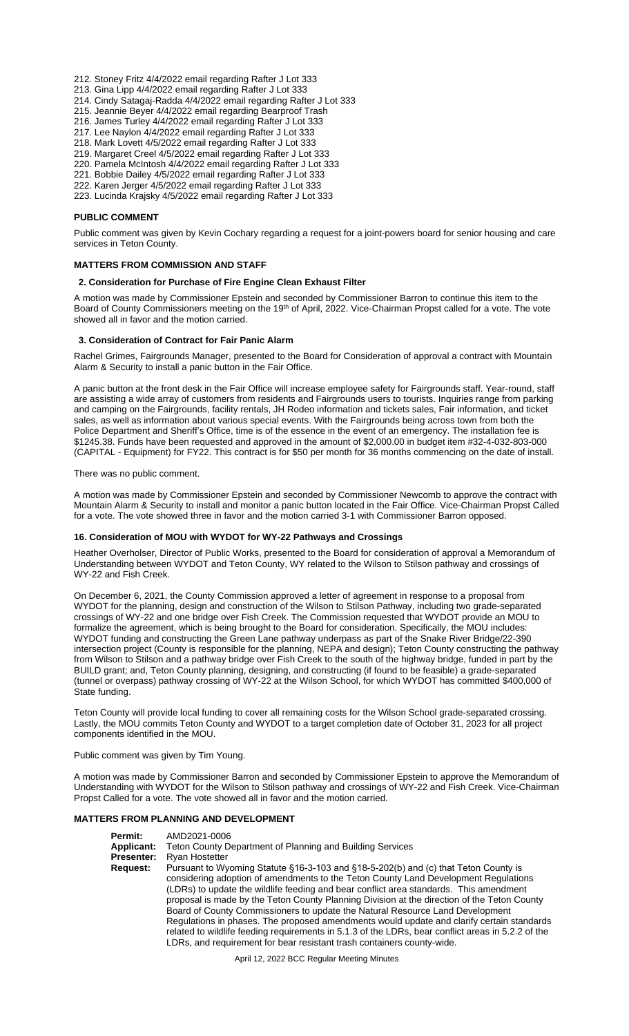- 212. Stoney Fritz 4/4/2022 email regarding Rafter J Lot 333
- 213. Gina Lipp 4/4/2022 email regarding Rafter J Lot 333
- 214. Cindy Satagaj-Radda 4/4/2022 email regarding Rafter J Lot 333
- 215. Jeannie Beyer 4/4/2022 email regarding Bearproof Trash
- 216. James Turley 4/4/2022 email regarding Rafter J Lot 333
- 217. Lee Naylon 4/4/2022 email regarding Rafter J Lot 333
- 218. Mark Lovett 4/5/2022 email regarding Rafter J Lot 333
- 219. Margaret Creel 4/5/2022 email regarding Rafter J Lot 333
- 220. Pamela McIntosh 4/4/2022 email regarding Rafter J Lot 333
- 221. Bobbie Dailey 4/5/2022 email regarding Rafter J Lot 333 222. Karen Jerger 4/5/2022 email regarding Rafter J Lot 333
- 223. Lucinda Krajsky 4/5/2022 email regarding Rafter J Lot 333

#### **PUBLIC COMMENT**

Public comment was given by Kevin Cochary regarding a request for a joint-powers board for senior housing and care services in Teton County.

#### **MATTERS FROM COMMISSION AND STAFF**

#### **2. Consideration for Purchase of Fire Engine Clean Exhaust Filter**

A motion was made by Commissioner Epstein and seconded by Commissioner Barron to continue this item to the Board of County Commissioners meeting on the 19th of April, 2022. Vice-Chairman Propst called for a vote. The vote showed all in favor and the motion carried.

#### **3. Consideration of Contract for Fair Panic Alarm**

Rachel Grimes, Fairgrounds Manager, presented to the Board for Consideration of approval a contract with Mountain Alarm & Security to install a panic button in the Fair Office.

A panic button at the front desk in the Fair Office will increase employee safety for Fairgrounds staff. Year-round, staff are assisting a wide array of customers from residents and Fairgrounds users to tourists. Inquiries range from parking and camping on the Fairgrounds, facility rentals, JH Rodeo information and tickets sales, Fair information, and ticket sales, as well as information about various special events. With the Fairgrounds being across town from both the Police Department and Sheriff's Office, time is of the essence in the event of an emergency. The installation fee is \$1245.38. Funds have been requested and approved in the amount of \$2,000.00 in budget item #32-4-032-803-000 (CAPITAL - Equipment) for FY22. This contract is for \$50 per month for 36 months commencing on the date of install.

#### There was no public comment.

A motion was made by Commissioner Epstein and seconded by Commissioner Newcomb to approve the contract with Mountain Alarm & Security to install and monitor a panic button located in the Fair Office. Vice-Chairman Propst Called for a vote. The vote showed three in favor and the motion carried 3-1 with Commissioner Barron opposed.

#### **16. Consideration of MOU with WYDOT for WY-22 Pathways and Crossings**

Heather Overholser, Director of Public Works, presented to the Board for consideration of approval a Memorandum of Understanding between WYDOT and Teton County, WY related to the Wilson to Stilson pathway and crossings of WY-22 and Fish Creek.

On December 6, 2021, the County Commission approved a letter of agreement in response to a proposal from WYDOT for the planning, design and construction of the Wilson to Stilson Pathway, including two grade-separated crossings of WY-22 and one bridge over Fish Creek. The Commission requested that WYDOT provide an MOU to formalize the agreement, which is being brought to the Board for consideration. Specifically, the MOU includes: WYDOT funding and constructing the Green Lane pathway underpass as part of the Snake River Bridge/22-390 intersection project (County is responsible for the planning, NEPA and design); Teton County constructing the pathway from Wilson to Stilson and a pathway bridge over Fish Creek to the south of the highway bridge, funded in part by the BUILD grant; and, Teton County planning, designing, and constructing (if found to be feasible) a grade-separated (tunnel or overpass) pathway crossing of WY-22 at the Wilson School, for which WYDOT has committed \$400,000 of State funding.

Teton County will provide local funding to cover all remaining costs for the Wilson School grade-separated crossing. Lastly, the MOU commits Teton County and WYDOT to a target completion date of October 31, 2023 for all project components identified in the MOU.

Public comment was given by Tim Young.

A motion was made by Commissioner Barron and seconded by Commissioner Epstein to approve the Memorandum of Understanding with WYDOT for the Wilson to Stilson pathway and crossings of WY-22 and Fish Creek. Vice-Chairman Propst Called for a vote. The vote showed all in favor and the motion carried.

### **MATTERS FROM PLANNING AND DEVELOPMENT**

**Permit:** AMD2021-0006<br>**Applicant:** Teton County D **Applicant:** Teton County Department of Planning and Building Services **Presenter:** Ryan Hostetter **Request:** Pursuant to Wyoming Statute §16-3-103 and §18-5-202(b) and (c) that Teton County is considering adoption of amendments to the Teton County Land Development Regulations (LDRs) to update the wildlife feeding and bear conflict area standards. This amendment proposal is made by the Teton County Planning Division at the direction of the Teton County Board of County Commissioners to update the Natural Resource Land Development Regulations in phases. The proposed amendments would update and clarify certain standards related to wildlife feeding requirements in 5.1.3 of the LDRs, bear conflict areas in 5.2.2 of the LDRs, and requirement for bear resistant trash containers county-wide.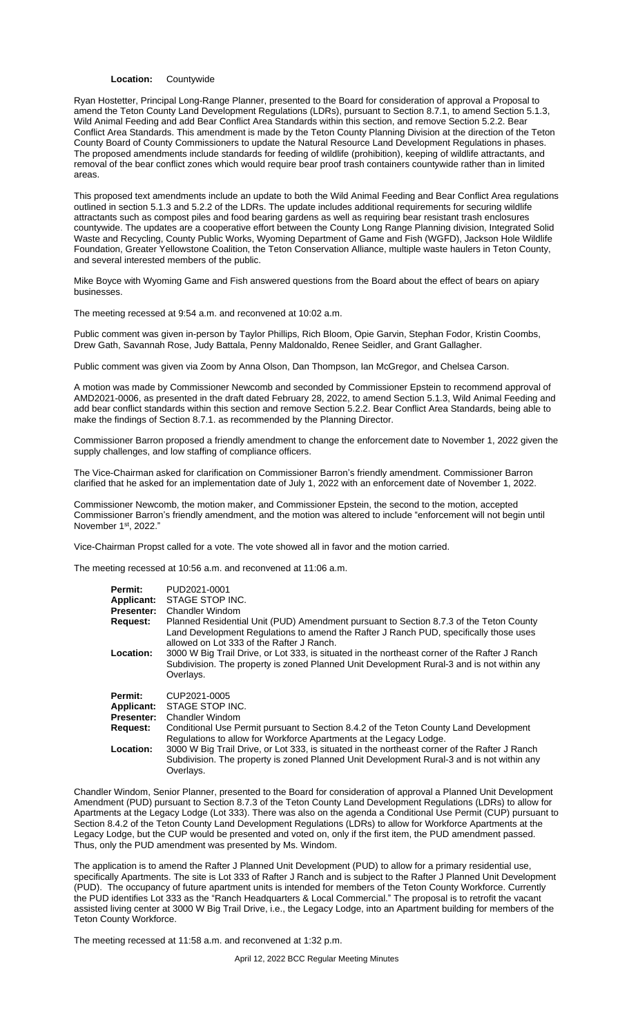#### **Location:** Countywide

Ryan Hostetter, Principal Long-Range Planner, presented to the Board for consideration of approval a Proposal to amend the Teton County Land Development Regulations (LDRs), pursuant to Section 8.7.1, to amend Section 5.1.3, Wild Animal Feeding and add Bear Conflict Area Standards within this section, and remove Section 5.2.2. Bear Conflict Area Standards. This amendment is made by the Teton County Planning Division at the direction of the Teton County Board of County Commissioners to update the Natural Resource Land Development Regulations in phases. The proposed amendments include standards for feeding of wildlife (prohibition), keeping of wildlife attractants, and removal of the bear conflict zones which would require bear proof trash containers countywide rather than in limited areas.

This proposed text amendments include an update to both the Wild Animal Feeding and Bear Conflict Area regulations outlined in section 5.1.3 and 5.2.2 of the LDRs. The update includes additional requirements for securing wildlife attractants such as compost piles and food bearing gardens as well as requiring bear resistant trash enclosures countywide. The updates are a cooperative effort between the County Long Range Planning division, Integrated Solid Waste and Recycling, County Public Works, Wyoming Department of Game and Fish (WGFD), Jackson Hole Wildlife Foundation, Greater Yellowstone Coalition, the Teton Conservation Alliance, multiple waste haulers in Teton County, and several interested members of the public.

Mike Boyce with Wyoming Game and Fish answered questions from the Board about the effect of bears on apiary businesses.

The meeting recessed at 9:54 a.m. and reconvened at 10:02 a.m.

Public comment was given in-person by Taylor Phillips, Rich Bloom, Opie Garvin, Stephan Fodor, Kristin Coombs, Drew Gath, Savannah Rose, Judy Battala, Penny Maldonaldo, Renee Seidler, and Grant Gallagher.

Public comment was given via Zoom by Anna Olson, Dan Thompson, Ian McGregor, and Chelsea Carson.

A motion was made by Commissioner Newcomb and seconded by Commissioner Epstein to recommend approval of AMD2021-0006, as presented in the draft dated February 28, 2022, to amend Section 5.1.3, Wild Animal Feeding and add bear conflict standards within this section and remove Section 5.2.2. Bear Conflict Area Standards, being able to make the findings of Section 8.7.1. as recommended by the Planning Director.

Commissioner Barron proposed a friendly amendment to change the enforcement date to November 1, 2022 given the supply challenges, and low staffing of compliance officers.

The Vice-Chairman asked for clarification on Commissioner Barron's friendly amendment. Commissioner Barron clarified that he asked for an implementation date of July 1, 2022 with an enforcement date of November 1, 2022.

Commissioner Newcomb, the motion maker, and Commissioner Epstein, the second to the motion, accepted Commissioner Barron's friendly amendment, and the motion was altered to include "enforcement will not begin until November 1st, 2022.'

Vice-Chairman Propst called for a vote. The vote showed all in favor and the motion carried.

The meeting recessed at 10:56 a.m. and reconvened at 11:06 a.m.

| Permit:           | PUD2021-0001                                                                                                                                                                                                                 |
|-------------------|------------------------------------------------------------------------------------------------------------------------------------------------------------------------------------------------------------------------------|
| <b>Applicant:</b> | STAGE STOP INC.                                                                                                                                                                                                              |
| Presenter:        | Chandler Windom                                                                                                                                                                                                              |
| <b>Request:</b>   | Planned Residential Unit (PUD) Amendment pursuant to Section 8.7.3 of the Teton County<br>Land Development Regulations to amend the Rafter J Ranch PUD, specifically those uses<br>allowed on Lot 333 of the Rafter J Ranch. |
| <b>Location:</b>  | 3000 W Big Trail Drive, or Lot 333, is situated in the northeast corner of the Rafter J Ranch<br>Subdivision. The property is zoned Planned Unit Development Rural-3 and is not within any<br>Overlays.                      |
| Permit:           | CUP2021-0005                                                                                                                                                                                                                 |
| Applicant:        | STAGE STOP INC.                                                                                                                                                                                                              |
| Presenter:        | Chandler Windom                                                                                                                                                                                                              |
| <b>Request:</b>   | Conditional Use Permit pursuant to Section 8.4.2 of the Teton County Land Development<br>Regulations to allow for Workforce Apartments at the Legacy Lodge.                                                                  |
| Location:         | 3000 W Big Trail Drive, or Lot 333, is situated in the northeast corner of the Rafter J Ranch                                                                                                                                |
|                   | Subdivision. The property is zoned Planned Unit Development Rural-3 and is not within any                                                                                                                                    |
|                   | Overlays.                                                                                                                                                                                                                    |

Chandler Windom, Senior Planner, presented to the Board for consideration of approval a Planned Unit Development Amendment (PUD) pursuant to Section 8.7.3 of the Teton County Land Development Regulations (LDRs) to allow for Apartments at the Legacy Lodge (Lot 333). There was also on the agenda a Conditional Use Permit (CUP) pursuant to Section 8.4.2 of the Teton County Land Development Regulations (LDRs) to allow for Workforce Apartments at the Legacy Lodge, but the CUP would be presented and voted on, only if the first item, the PUD amendment passed. Thus, only the PUD amendment was presented by Ms. Windom.

The application is to amend the Rafter J Planned Unit Development (PUD) to allow for a primary residential use, specifically Apartments. The site is Lot 333 of Rafter J Ranch and is subject to the Rafter J Planned Unit Development (PUD). The occupancy of future apartment units is intended for members of the Teton County Workforce. Currently the PUD identifies Lot 333 as the "Ranch Headquarters & Local Commercial." The proposal is to retrofit the vacant assisted living center at 3000 W Big Trail Drive, i.e., the Legacy Lodge, into an Apartment building for members of the Teton County Workforce.

The meeting recessed at 11:58 a.m. and reconvened at 1:32 p.m.